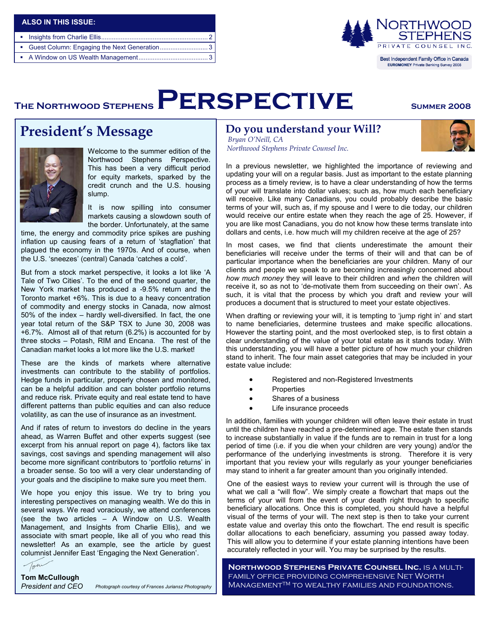| ALSO IN THIS ISSUE: |  |
|---------------------|--|
|                     |  |
|                     |  |
|                     |  |



**EUROMONEY Private Banking Survey 2008** 

# THE NORTHWOOD STEPHENS  $\mathsf{PERSPECTIVE}$  SUMMER 2008

# **President's Message**



Welcome to the summer edition of the Northwood Stephens Perspective. This has been a very difficult period for equity markets, sparked by the credit crunch and the U.S. housing slump.

It is now spilling into consumer markets causing a slowdown south of the border. Unfortunately, at the same

time, the energy and commodity price spikes are pushing inflation up causing fears of a return of 'stagflation' that plagued the economy in the 1970s. And of course, when the U.S. 'sneezes' (central) Canada 'catches a cold'.

But from a stock market perspective, it looks a lot like 'A Tale of Two Cities'. To the end of the second quarter, the New York market has produced a -9.5% return and the Toronto market +6%. This is due to a heavy concentration of commodity and energy stocks in Canada, now almost 50% of the index – hardly well-diversified. In fact, the one year total return of the S&P TSX to June 30, 2008 was +6.7%. Almost all of that return (6.2%) is accounted for by three stocks – Potash, RIM and Encana. The rest of the Canadian market looks a lot more like the U.S. market!

These are the kinds of markets where alternative investments can contribute to the stability of portfolios. Hedge funds in particular, properly chosen and monitored, can be a helpful addition and can bolster portfolio returns and reduce risk. Private equity and real estate tend to have different patterns than public equities and can also reduce volatility, as can the use of insurance as an investment.

And if rates of return to investors do decline in the years ahead, as Warren Buffet and other experts suggest (see excerpt from his annual report on page 4), factors like tax savings, cost savings and spending management will also become more significant contributors to 'portfolio returns' in a broader sense. So too will a very clear understanding of your goals and the discipline to make sure you meet them.

We hope you enjoy this issue. We try to bring you interesting perspectives on managing wealth. We do this in several ways. We read voraciously, we attend conferences (see the two articles – A Window on U.S. Wealth Management, and Insights from Charlie Ellis), and we associate with smart people, like all of you who read this newsletter! As an example, see the article by guest columnist Jennifer East 'Engaging the Next Generation'.

Tom **Tom McCullough**

*Photograph courtesy of Frances Juriansz Photography President and CEO*

### **Do you understand your Will?**

 *Bryan O'Neill, CA Northwood Stephens Private Counsel Inc.* 



In a previous newsletter, we highlighted the importance of reviewing and updating your will on a regular basis. Just as important to the estate planning process as a timely review, is to have a clear understanding of how the terms of your will translate into dollar values; such as, how much each beneficiary will receive. Like many Canadians, you could probably describe the basic terms of your will, such as, if my spouse and I were to die today, our children would receive our entire estate when they reach the age of 25. However, if you are like most Canadians, you do not know how these terms translate into dollars and cents, i.e. how much will my children receive at the age of 25?

In most cases, we find that clients underestimate the amount their beneficiaries will receive under the terms of their will and that can be of particular importance when the beneficiaries are your children. Many of our clients and people we speak to are becoming increasingly concerned about *how much money* they will leave to their children and *when* the children will receive it, so as not to 'de-motivate them from succeeding on their own'. As such, it is vital that the process by which you draft and review your will produces a document that is structured to meet your estate objectives.

When drafting or reviewing your will, it is tempting to 'jump right in' and start to name beneficiaries, determine trustees and make specific allocations. However the starting point, and the most overlooked step, is to first obtain a clear understanding of the value of your total estate as it stands today. With this understanding, you will have a better picture of how much your children stand to inherit. The four main asset categories that may be included in your estate value include:

- Registered and non-Registered Investments
- Properties
- Shares of a business
- Life insurance proceeds

In addition, families with younger children will often leave their estate in trust until the children have reached a pre-determined age. The estate then stands to increase substantially in value if the funds are to remain in trust for a long period of time (i.e. if you die when your children are very young) and/or the performance of the underlying investments is strong. Therefore it is very important that you review your wills regularly as your younger beneficiaries may stand to inherit a far greater amount than you originally intended.

One of the easiest ways to review your current will is through the use of what we call a "will flow". We simply create a flowchart that maps out the terms of your will from the event of your death right through to specific beneficiary allocations. Once this is completed, you should have a helpful visual of the terms of your will. The next step is then to take your current estate value and overlay this onto the flowchart. The end result is specific dollar allocations to each beneficiary, assuming you passed away today. This will allow you to determine if your estate planning intentions have been accurately reflected in your will. You may be surprised by the results.

**Northwood Stephens Private Counsel Inc.** is a multifamily office providing comprehensive Net Worth ManagementTM to wealthy families and foundations.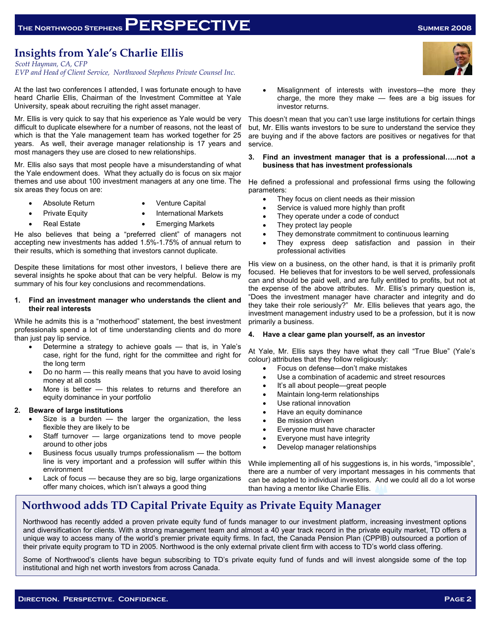### **Insights from Yale's Charlie Ellis**

*Scott Hayman, CA, CFP* 

*EVP and Head of Client Service, Northwood Stephens Private Counsel Inc.* 

At the last two conferences I attended, I was fortunate enough to have heard Charlie Ellis, Chairman of the Investment Committee at Yale University, speak about recruiting the right asset manager.

Mr. Ellis is very quick to say that his experience as Yale would be very difficult to duplicate elsewhere for a number of reasons, not the least of which is that the Yale management team has worked together for 25 years. As well, their average manager relationship is 17 years and most managers they use are closed to new relationships.

Mr. Ellis also says that most people have a misunderstanding of what the Yale endowment does. What they actually do is focus on six major themes and use about 100 investment managers at any one time. The six areas they focus on are:

- - Absolute Return Venture Capital
- 
- **Private Equity •** International Markets
	-
	- Real Estate  **Emerging Markets**

He also believes that being a "preferred client" of managers not accepting new investments has added 1.5%-1.75% of annual return to their results, which is something that investors cannot duplicate.

Despite these limitations for most other investors, I believe there are several insights he spoke about that can be very helpful. Below is my summary of his four key conclusions and recommendations.

### **1. Find an investment manager who understands the client and their real interests**

While he admits this is a "motherhood" statement, the best investment professionals spend a lot of time understanding clients and do more than just pay lip service.

- Determine a strategy to achieve goals that is, in Yale's case, right for the fund, right for the committee and right for the long term
- Do no harm this really means that you have to avoid losing money at all costs
- More is better this relates to returns and therefore an equity dominance in your portfolio

### **2. Beware of large institutions**

- Size is a burden  $-$  the larger the organization, the less flexible they are likely to be
- Staff turnover large organizations tend to move people around to other jobs
- Business focus usually trumps professionalism the bottom line is very important and a profession will suffer within this environment
- Lack of focus because they are so big, large organizations offer many choices, which isn't always a good thing

Misalignment of interests with investors—the more they charge, the more they make — fees are a big issues for investor returns.

This doesn't mean that you can't use large institutions for certain things but, Mr. Ellis wants investors to be sure to understand the service they are buying and if the above factors are positives or negatives for that service.

**3. Find an investment manager that is a professional…..not a business that has investment professionals** 

He defined a professional and professional firms using the following parameters:

- They focus on client needs as their mission
- Service is valued more highly than profit
- They operate under a code of conduct
- They protect lay people
- They demonstrate commitment to continuous learning
- They express deep satisfaction and passion in their professional activities

His view on a business, on the other hand, is that it is primarily profit focused. He believes that for investors to be well served, professionals can and should be paid well, and are fully entitled to profits, but not at the expense of the above attributes. Mr. Ellis's primary question is, "Does the investment manager have character and integrity and do they take their role seriously?" Mr. Ellis believes that years ago, the investment management industry used to be a profession, but it is now primarily a business.

### **4. Have a clear game plan yourself, as an investor**

At Yale, Mr. Ellis says they have what they call "True Blue" (Yale's colour) attributes that they follow religiously:

- Focus on defense—don't make mistakes
- Use a combination of academic and street resources
- It's all about people—great people
- Maintain long-term relationships
- Use rational innovation
- Have an equity dominance
- Be mission driven
- Everyone must have character
- Everyone must have integrity
- Develop manager relationships

While implementing all of his suggestions is, in his words, "impossible", there are a number of very important messages in his comments that can be adapted to individual investors. And we could all do a lot worse than having a mentor like Charlie Ellis.

## **Northwood adds TD Capital Private Equity as Private Equity Manager**

Northwood has recently added a proven private equity fund of funds manager to our investment platform, increasing investment options and diversification for clients. With a strong management team and almost a 40 year track record in the private equity market, TD offers a unique way to access many of the world's premier private equity firms. In fact, the Canada Pension Plan (CPPIB) outsourced a portion of their private equity program to TD in 2005. Northwood is the only external private client firm with access to TD's world class offering.

Some of Northwood's clients have begun subscribing to TD's private equity fund of funds and will invest alongside some of the top institutional and high net worth investors from across Canada.

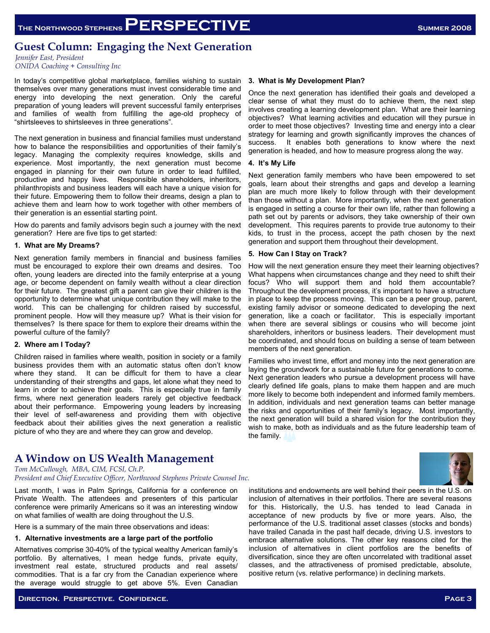### **Guest Column: Engaging the Next Generation**

*Jennifer East, President ONIDA Coaching + Consulting Inc* 

In today's competitive global marketplace, families wishing to sustain themselves over many generations must invest considerable time and energy into developing the next generation. Only the careful preparation of young leaders will prevent successful family enterprises and families of wealth from fulfilling the age-old prophecy of "shirtsleeves to shirtsleeves in three generations".

The next generation in business and financial families must understand how to balance the responsibilities and opportunities of their family's legacy. Managing the complexity requires knowledge, skills and experience. Most importantly, the next generation must become engaged in planning for their own future in order to lead fulfilled, productive and happy lives. Responsible shareholders, inheritors, philanthropists and business leaders will each have a unique vision for their future. Empowering them to follow their dreams, design a plan to achieve them and learn how to work together with other members of their generation is an essential starting point.

How do parents and family advisors begin such a journey with the next generation? Here are five tips to get started:

### **1. What are My Dreams?**

Next generation family members in financial and business families must be encouraged to explore their own dreams and desires. Too often, young leaders are directed into the family enterprise at a young age, or become dependent on family wealth without a clear direction for their future. The greatest gift a parent can give their children is the opportunity to determine what unique contribution they will make to the world. This can be challenging for children raised by successful, prominent people. How will they measure up? What is their vision for themselves? Is there space for them to explore their dreams within the powerful culture of the family?

#### **2. Where am I Today?**

Children raised in families where wealth, position in society or a family business provides them with an automatic status often don't know where they stand. It can be difficult for them to have a clear understanding of their strengths and gaps, let alone what they need to learn in order to achieve their goals. This is especially true in family firms, where next generation leaders rarely get objective feedback about their performance. Empowering young leaders by increasing their level of self-awareness and providing them with objective feedback about their abilities gives the next generation a realistic picture of who they are and where they can grow and develop.

### **A Window on US Wealth Management**

*Tom McCullough, MBA, CIM, FCSI, Ch.P.* 

*President and Chief Executive Officer, Northwood Stephens Private Counsel Inc.* 

Last month, I was in Palm Springs, California for a conference on Private Wealth. The attendees and presenters of this particular conference were primarily Americans so it was an interesting window on what families of wealth are doing throughout the U.S.

Here is a summary of the main three observations and ideas:

#### **1. Alternative investments are a large part of the portfolio**

Alternatives comprise 30-40% of the typical wealthy American family's portfolio. By alternatives, I mean hedge funds, private equity, investment real estate, structured products and real assets/ commodities. That is a far cry from the Canadian experience where the average would struggle to get above 5%. Even Canadian

#### **3. What is My Development Plan?**

Once the next generation has identified their goals and developed a clear sense of what they must do to achieve them, the next step involves creating a learning development plan. What are their learning objectives? What learning activities and education will they pursue in order to meet those objectives? Investing time and energy into a clear strategy for learning and growth significantly improves the chances of success. It enables both generations to know where the next generation is headed, and how to measure progress along the way.

### **4. It's My Life**

Next generation family members who have been empowered to set goals, learn about their strengths and gaps and develop a learning plan are much more likely to follow through with their development than those without a plan. More importantly, when the next generation is engaged in setting a course for their own life, rather than following a path set out by parents or advisors, they take ownership of their own development. This requires parents to provide true autonomy to their kids, to trust in the process, accept the path chosen by the next generation and support them throughout their development.

#### **5. How Can I Stay on Track?**

How will the next generation ensure they meet their learning objectives? What happens when circumstances change and they need to shift their focus? Who will support them and hold them accountable? Throughout the development process, it's important to have a structure in place to keep the process moving. This can be a peer group, parent, existing family advisor or someone dedicated to developing the next generation, like a coach or facilitator. This is especially important when there are several siblings or cousins who will become joint shareholders, inheritors or business leaders. Their development must be coordinated, and should focus on building a sense of team between members of the next generation.

Families who invest time, effort and money into the next generation are laying the groundwork for a sustainable future for generations to come. Next generation leaders who pursue a development process will have clearly defined life goals, plans to make them happen and are much more likely to become both independent and informed family members. In addition, individuals and next generation teams can better manage the risks and opportunities of their family's legacy. Most importantly, the next generation will build a shared vision for the contribution they wish to make, both as individuals and as the future leadership team of the family.



institutions and endowments are well behind their peers in the U.S. on inclusion of alternatives in their portfolios. There are several reasons for this. Historically, the U.S. has tended to lead Canada in acceptance of new products by five or more years. Also, the performance of the U.S. traditional asset classes (stocks and bonds) have trailed Canada in the past half decade, driving U.S. investors to embrace alternative solutions. The other key reasons cited for the inclusion of alternatives in client portfolios are the benefits of diversification, since they are often uncorrelated with traditional asset classes, and the attractiveness of promised predictable, absolute, positive return (vs. relative performance) in declining markets.